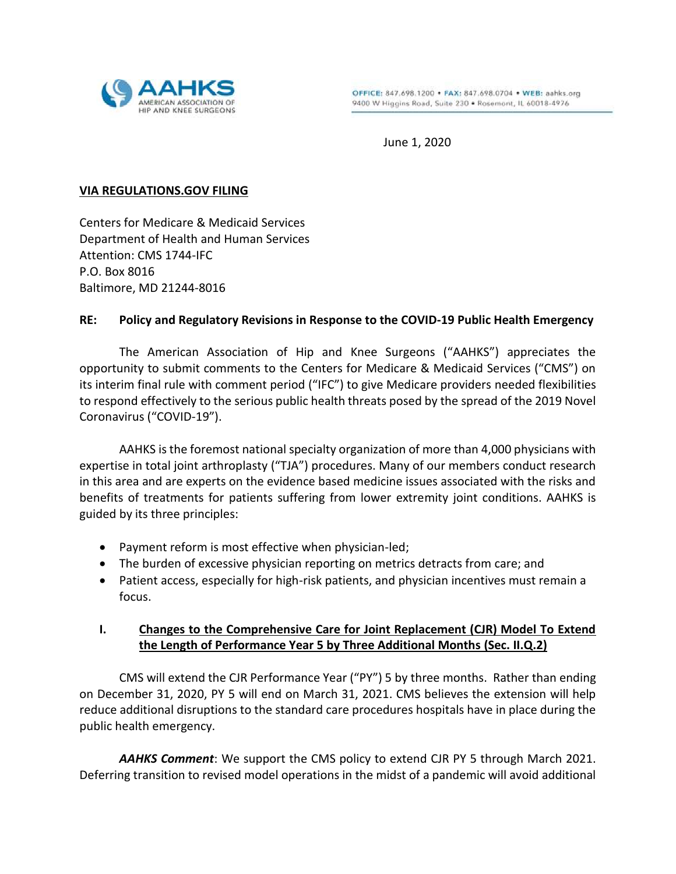

June 1, 2020

## **VIA REGULATIONS.GOV FILING**

Centers for Medicare & Medicaid Services Department of Health and Human Services Attention: CMS 1744-IFC P.O. Box 8016 Baltimore, MD 21244-8016

## **RE: Policy and Regulatory Revisions in Response to the COVID-19 Public Health Emergency**

The American Association of Hip and Knee Surgeons ("AAHKS") appreciates the opportunity to submit comments to the Centers for Medicare & Medicaid Services ("CMS") on its interim final rule with comment period ("IFC") to give Medicare providers needed flexibilities to respond effectively to the serious public health threats posed by the spread of the 2019 Novel Coronavirus ("COVID-19").

AAHKS is the foremost national specialty organization of more than 4,000 physicians with expertise in total joint arthroplasty ("TJA") procedures. Many of our members conduct research in this area and are experts on the evidence based medicine issues associated with the risks and benefits of treatments for patients suffering from lower extremity joint conditions. AAHKS is guided by its three principles:

- Payment reform is most effective when physician-led;
- The burden of excessive physician reporting on metrics detracts from care; and
- Patient access, especially for high-risk patients, and physician incentives must remain a focus.

## **I. Changes to the Comprehensive Care for Joint Replacement (CJR) Model To Extend the Length of Performance Year 5 by Three Additional Months (Sec. II.Q.2)**

CMS will extend the CJR Performance Year ("PY") 5 by three months. Rather than ending on December 31, 2020, PY 5 will end on March 31, 2021. CMS believes the extension will help reduce additional disruptions to the standard care procedures hospitals have in place during the public health emergency.

*AAHKS Comment*: We support the CMS policy to extend CJR PY 5 through March 2021. Deferring transition to revised model operations in the midst of a pandemic will avoid additional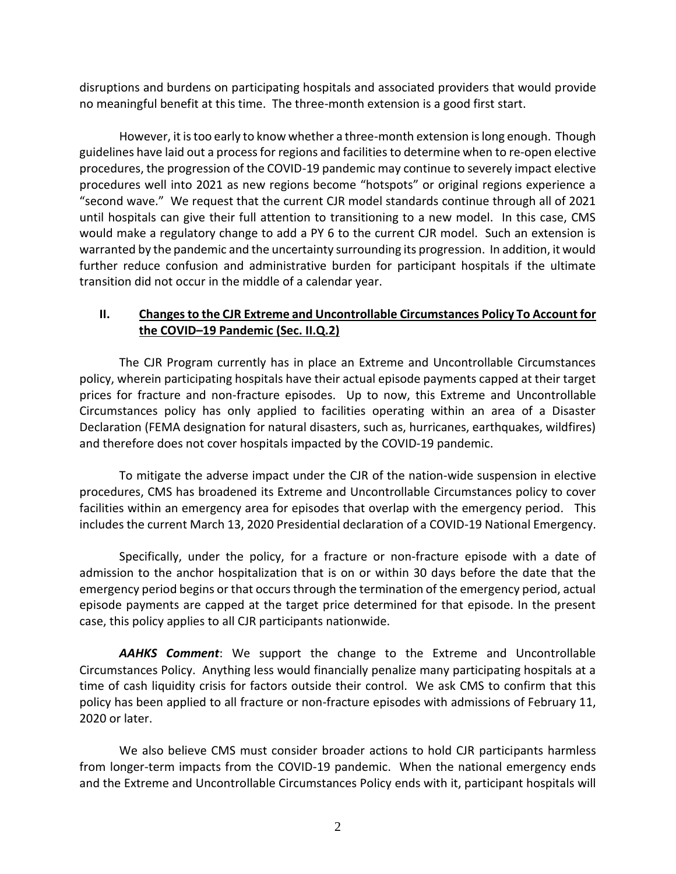disruptions and burdens on participating hospitals and associated providers that would provide no meaningful benefit at this time. The three-month extension is a good first start.

However, it is too early to know whether a three-month extension is long enough. Though guidelines have laid out a process for regions and facilities to determine when to re-open elective procedures, the progression of the COVID-19 pandemic may continue to severely impact elective procedures well into 2021 as new regions become "hotspots" or original regions experience a "second wave." We request that the current CJR model standards continue through all of 2021 until hospitals can give their full attention to transitioning to a new model. In this case, CMS would make a regulatory change to add a PY 6 to the current CJR model. Such an extension is warranted by the pandemic and the uncertainty surrounding its progression. In addition, it would further reduce confusion and administrative burden for participant hospitals if the ultimate transition did not occur in the middle of a calendar year.

## **II. Changes to the CJR Extreme and Uncontrollable Circumstances Policy To Account for the COVID–19 Pandemic (Sec. II.Q.2)**

The CJR Program currently has in place an Extreme and Uncontrollable Circumstances policy, wherein participating hospitals have their actual episode payments capped at their target prices for fracture and non-fracture episodes. Up to now, this Extreme and Uncontrollable Circumstances policy has only applied to facilities operating within an area of a Disaster Declaration (FEMA designation for natural disasters, such as, hurricanes, earthquakes, wildfires) and therefore does not cover hospitals impacted by the COVID-19 pandemic.

To mitigate the adverse impact under the CJR of the nation-wide suspension in elective procedures, CMS has broadened its Extreme and Uncontrollable Circumstances policy to cover facilities within an emergency area for episodes that overlap with the emergency period. This includes the current March 13, 2020 Presidential declaration of a COVID-19 National Emergency.

Specifically, under the policy, for a fracture or non-fracture episode with a date of admission to the anchor hospitalization that is on or within 30 days before the date that the emergency period begins or that occurs through the termination of the emergency period, actual episode payments are capped at the target price determined for that episode. In the present case, this policy applies to all CJR participants nationwide.

*AAHKS Comment*: We support the change to the Extreme and Uncontrollable Circumstances Policy. Anything less would financially penalize many participating hospitals at a time of cash liquidity crisis for factors outside their control. We ask CMS to confirm that this policy has been applied to all fracture or non-fracture episodes with admissions of February 11, 2020 or later.

We also believe CMS must consider broader actions to hold CJR participants harmless from longer-term impacts from the COVID-19 pandemic. When the national emergency ends and the Extreme and Uncontrollable Circumstances Policy ends with it, participant hospitals will